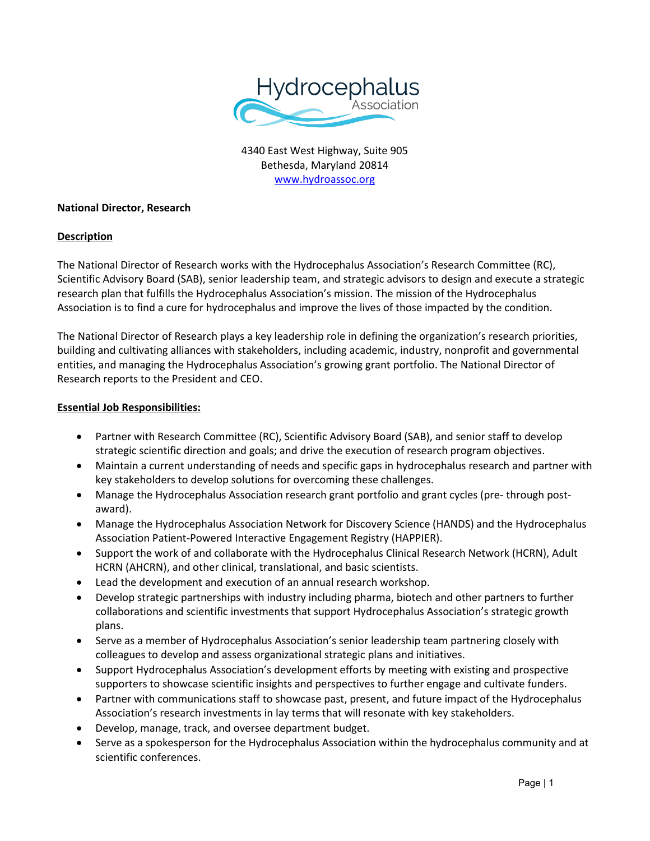

4340 East West Highway, Suite 905 Bethesda, Maryland 20814 [www.hydroassoc.org](http://www.hydroassoc.org/)

## **National Director, Research**

# **Description**

The National Director of Research works with the Hydrocephalus Association's Research Committee (RC), Scientific Advisory Board (SAB), senior leadership team, and strategic advisors to design and execute a strategic research plan that fulfills the Hydrocephalus Association's mission. The mission of the Hydrocephalus Association is to find a cure for hydrocephalus and improve the lives of those impacted by the condition.

The National Director of Research plays a key leadership role in defining the organization's research priorities, building and cultivating alliances with stakeholders, including academic, industry, nonprofit and governmental entities, and managing the Hydrocephalus Association's growing grant portfolio. The National Director of Research reports to the President and CEO.

#### **Essential Job Responsibilities:**

- Partner with Research Committee (RC), Scientific Advisory Board (SAB), and senior staff to develop strategic scientific direction and goals; and drive the execution of research program objectives.
- Maintain a current understanding of needs and specific gaps in hydrocephalus research and partner with key stakeholders to develop solutions for overcoming these challenges.
- Manage the Hydrocephalus Association research grant portfolio and grant cycles (pre- through postaward).
- Manage the Hydrocephalus Association Network for Discovery Science (HANDS) and the Hydrocephalus Association Patient-Powered Interactive Engagement Registry (HAPPIER).
- Support the work of and collaborate with the Hydrocephalus Clinical Research Network (HCRN), Adult HCRN (AHCRN), and other clinical, translational, and basic scientists.
- Lead the development and execution of an annual research workshop.
- Develop strategic partnerships with industry including pharma, biotech and other partners to further collaborations and scientific investments that support Hydrocephalus Association's strategic growth plans.
- Serve as a member of Hydrocephalus Association's senior leadership team partnering closely with colleagues to develop and assess organizational strategic plans and initiatives.
- Support Hydrocephalus Association's development efforts by meeting with existing and prospective supporters to showcase scientific insights and perspectives to further engage and cultivate funders.
- Partner with communications staff to showcase past, present, and future impact of the Hydrocephalus Association's research investments in lay terms that will resonate with key stakeholders.
- Develop, manage, track, and oversee department budget.
- Serve as a spokesperson for the Hydrocephalus Association within the hydrocephalus community and at scientific conferences.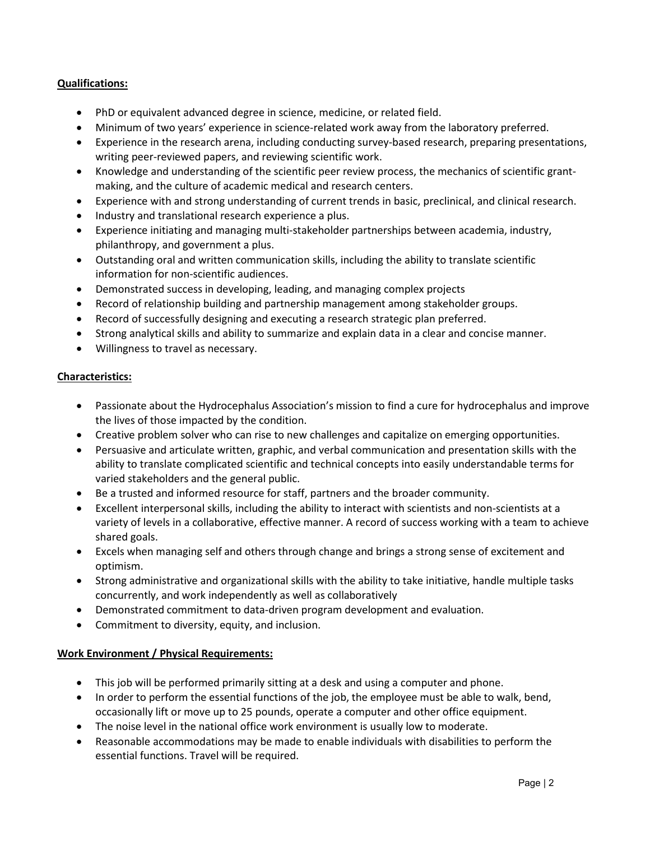# **Qualifications:**

- PhD or equivalent advanced degree in science, medicine, or related field.
- Minimum of two years' experience in science-related work away from the laboratory preferred.
- Experience in the research arena, including conducting survey-based research, preparing presentations, writing peer-reviewed papers, and reviewing scientific work.
- Knowledge and understanding of the scientific peer review process, the mechanics of scientific grantmaking, and the culture of academic medical and research centers.
- Experience with and strong understanding of current trends in basic, preclinical, and clinical research.
- Industry and translational research experience a plus.
- Experience initiating and managing multi-stakeholder partnerships between academia, industry, philanthropy, and government a plus.
- Outstanding oral and written communication skills, including the ability to translate scientific information for non-scientific audiences.
- Demonstrated success in developing, leading, and managing complex projects
- Record of relationship building and partnership management among stakeholder groups.
- Record of successfully designing and executing a research strategic plan preferred.
- Strong analytical skills and ability to summarize and explain data in a clear and concise manner.
- Willingness to travel as necessary.

#### **Characteristics:**

- Passionate about the Hydrocephalus Association's mission to find a cure for hydrocephalus and improve the lives of those impacted by the condition.
- Creative problem solver who can rise to new challenges and capitalize on emerging opportunities.
- Persuasive and articulate written, graphic, and verbal communication and presentation skills with the ability to translate complicated scientific and technical concepts into easily understandable terms for varied stakeholders and the general public.
- Be a trusted and informed resource for staff, partners and the broader community.
- Excellent interpersonal skills, including the ability to interact with scientists and non-scientists at a variety of levels in a collaborative, effective manner. A record of success working with a team to achieve shared goals.
- Excels when managing self and others through change and brings a strong sense of excitement and optimism.
- Strong administrative and organizational skills with the ability to take initiative, handle multiple tasks concurrently, and work independently as well as collaboratively
- Demonstrated commitment to data-driven program development and evaluation.
- Commitment to diversity, equity, and inclusion.

#### **Work Environment / Physical Requirements:**

- This job will be performed primarily sitting at a desk and using a computer and phone.
- In order to perform the essential functions of the job, the employee must be able to walk, bend, occasionally lift or move up to 25 pounds, operate a computer and other office equipment.
- The noise level in the national office work environment is usually low to moderate.
- Reasonable accommodations may be made to enable individuals with disabilities to perform the essential functions. Travel will be required.